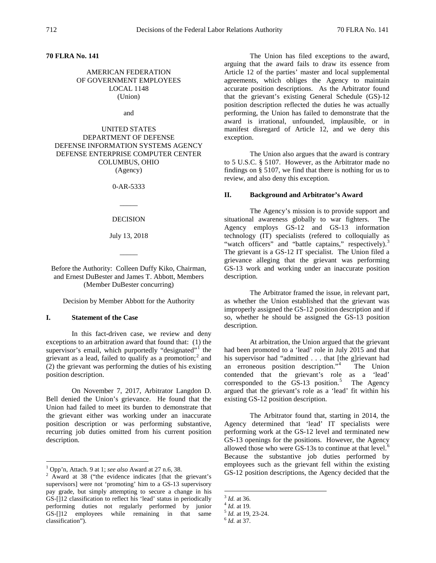**70 FLRA No. 141**

# AMERICAN FEDERATION OF GOVERNMENT EMPLOYEES LOCAL 1148 (Union)

and

UNITED STATES DEPARTMENT OF DEFENSE DEFENSE INFORMATION SYSTEMS AGENCY DEFENSE ENTERPRISE COMPUTER CENTER COLUMBUS, OHIO (Agency)

0-AR-5333

 $\overline{\phantom{a}}$ 

#### DECISION

July 13, 2018

 $\overline{\phantom{a}}$ 

Before the Authority: Colleen Duffy Kiko, Chairman, and Ernest DuBester and James T. Abbott, Members (Member DuBester concurring)

Decision by Member Abbott for the Authority

## **I. Statement of the Case**

In this fact-driven case, we review and deny exceptions to an arbitration award that found that: (1) the supervisor's email, which purportedly "designated"<sup>[1](#page-0-0)</sup> the grievant as a lead, failed to qualify as a promotion; $<sup>2</sup>$  $<sup>2</sup>$  $<sup>2</sup>$  and</sup> (2) the grievant was performing the duties of his existing position description.

On November 7, 2017, Arbitrator Langdon D. Bell denied the Union's grievance. He found that the Union had failed to meet its burden to demonstrate that the grievant either was working under an inaccurate position description or was performing substantive, recurring job duties omitted from his current position description.

The Union has filed exceptions to the award, arguing that the award fails to draw its essence from Article 12 of the parties' master and local supplemental agreements, which obliges the Agency to maintain accurate position descriptions. As the Arbitrator found that the grievant's existing General Schedule (GS)-12 position description reflected the duties he was actually performing, the Union has failed to demonstrate that the award is irrational, unfounded, implausible, or in manifest disregard of Article 12, and we deny this exception.

The Union also argues that the award is contrary to 5 U.S.C. § 5107. However, as the Arbitrator made no findings on § 5107, we find that there is nothing for us to review, and also deny this exception.

### **II. Background and Arbitrator's Award**

The Agency's mission is to provide support and situational awareness globally to war fighters. The Agency employs GS-12 and GS-13 information technology (IT) specialists (refered to colloquially as "watch officers" and "battle captains," respectively).<sup>[3](#page-0-2)</sup> The grievant is a GS-12 IT specialist. The Union filed a grievance alleging that the grievant was performing GS-13 work and working under an inaccurate position description.

The Arbitrator framed the issue, in relevant part, as whether the Union established that the grievant was improperly assigned the GS-12 position description and if so, whether he should be assigned the GS-13 position description.

At arbitration, the Union argued that the grievant had been promoted to a 'lead' role in July 2015 and that his supervisor had "admitted . . . that [the g]rievant had an erroneous position description."[4](#page-0-3) The Union contended that the grievant's role as a 'lead' corresponded to the GS-13 position.<sup>[5](#page-0-4)</sup> The Agency argued that the grievant's role as a 'lead' fit within his existing GS-12 position description.

The Arbitrator found that, starting in 2014, the Agency determined that 'lead' IT specialists were performing work at the GS-12 level and terminated new GS-13 openings for the positions. However, the Agency allowed those who were GS-13s to continue at that level. $6$ Because the substantive job duties performed by employees such as the grievant fell within the existing GS-12 position descriptions, the Agency decided that the

<span id="page-0-5"></span><span id="page-0-4"></span><span id="page-0-3"></span><span id="page-0-2"></span>

<span id="page-0-1"></span><span id="page-0-0"></span><sup>&</sup>lt;sup>1</sup> Opp'n, Attach. 9 at 1; *see also* Award at 27 n.6, 38.<br><sup>2</sup> Award at 38 ("the evidence indicates [that the grievant's supervisors] were not 'promoting' him to a GS-13 supervisory pay grade, but simply attempting to secure a change in his GS-[]12 classification to reflect his 'lead' status in periodically performing duties not regularly performed by junior GS-[]12 employees while remaining in that same classification").

<sup>3</sup> *Id.* at 36. <sup>4</sup> *Id.* at 19. <sup>5</sup> *Id.* at 19, 23-24. <sup>6</sup> *Id.* at 37.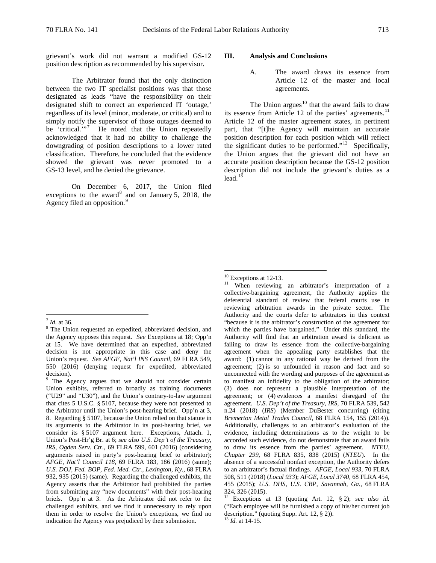grievant's work did not warrant a modified GS-12 position description as recommended by his supervisor.

The Arbitrator found that the only distinction between the two IT specialist positions was that those designated as leads "have the responsibility on their designated shift to correct an experienced IT 'outage,' regardless of its level (minor, moderate, or critical) and to simply notify the supervisor of those outages deemed to be 'critical."<sup>[7](#page-1-0)</sup> He noted that the Union repeatedly acknowledged that it had no ability to challenge the downgrading of position descriptions to a lower rated classification. Therefore, he concluded that the evidence showed the grievant was never promoted to a GS-13 level, and he denied the grievance.

On December 6, 2017, the Union filed exceptions to the award<sup>[8](#page-1-1)</sup> and on January 5, 2018, the Agency filed an opposition.<sup>[9](#page-1-2)</sup>

### **III. Analysis and Conclusions**

A. The award draws its essence from Article 12 of the master and local agreements.

The Union argues<sup>[10](#page-1-3)</sup> that the award fails to draw its essence from Article 12 of the parties' agreements.<sup>[11](#page-1-4)</sup> Article 12 of the master agreement states, in pertinent part, that "[t]he Agency will maintain an accurate position description for each position which will reflect the significant duties to be performed."<sup>[12](#page-1-5)</sup> Specifically, the Union argues that the grievant did not have an accurate position description because the GS-12 position description did not include the grievant's duties as a lead. $1\overline{3}$ 

 $10^{10}$  Exceptions at 12-13.<br><sup>11</sup> When reviewing an arbitrator's interpretation of a collective-bargaining agreement, the Authority applies the deferential standard of review that federal courts use in reviewing arbitration awards in the private sector. The Authority and the courts defer to arbitrators in this context "because it is the arbitrator's construction of the agreement for which the parties have bargained." Under this standard, the Authority will find that an arbitration award is deficient as failing to draw its essence from the collective-bargaining agreement when the appealing party establishes that the award: (1) cannot in any rational way be derived from the agreement; (2) is so unfounded in reason and fact and so unconnected with the wording and purposes of the agreement as to manifest an infidelity to the obligation of the arbitrator; (3) does not represent a plausible interpretation of the agreement; or (4) evidences a manifest disregard of the agreement. *U.S. Dep't of the Treasury, IRS*, 70 FLRA 539, 542 n.24 (2018) (*IRS*) (Member DuBester concurring) (citing *Bremerton Metal Trades Council*, 68 FLRA 154, 155 (2014)). Additionally, challenges to an arbitrator's evaluation of the evidence, including determinations as to the weight to be accorded such evidence, do not demonstrate that an award fails to draw its essence from the parties' agreement. *NTEU, Chapter 299*, 68 FLRA 835, 838 (2015) (*NTEU*). In the absence of a successful nonfact exception, the Authority defers to an arbitrator's factual findings. *AFGE, Local 933*, 70 FLRA 508, 511 (2018) (*Local 933*); *AFGE, Local 3740*, 68 FLRA 454, 455 (2015); *U.S. DHS, U.S. CBP, Savannah, Ga.*, 68 FLRA 324, 326 (2015).

Exceptions at 13 (quoting Art. 12, § 2); *see also id.* ("Each employee will be furnished a copy of his/her current job description." (quoting Supp. Art. 12, § 2)). 13 *Id.* at 14-15.

<span id="page-1-4"></span><span id="page-1-3"></span><span id="page-1-1"></span><span id="page-1-0"></span> $\frac{7}{8}$  *Id.* at 36. 8 The Union requested an expedited, abbreviated decision, and the Agency opposes this request. *See* Exceptions at 18; Opp'n at 15. We have determined that an expedited, abbreviated decision is not appropriate in this case and deny the Union's request. *See AFGE, Nat'l INS Council*, 69 FLRA 549, 550 (2016) (denying request for expedited, abbreviated decision).

<span id="page-1-6"></span><span id="page-1-5"></span><span id="page-1-2"></span><sup>&</sup>lt;sup>9</sup> The Agency argues that we should not consider certain Union exhibits, referred to broadly as training documents ("U29" and "U30"), and the Union's contrary-to-law argument that cites 5 U.S.C. § 5107, because they were not presented to the Arbitrator until the Union's post-hearing brief. Opp'n at 3, 8. Regarding § 5107, because the Union relied on that statute in its arguments to the Arbitrator in its post-hearing brief, we consider its § 5107 argument here. Exceptions, Attach. 1, Union's Post-Hr'g Br. at 6; *see also U.S. Dep't of the Treasury, IRS, Ogden Serv. Ctr.*, 69 FLRA 599, 601 (2016) (considering arguments raised in party's post-hearing brief to arbitrator); *AFGE, Nat'l Council 118*, 69 FLRA 183, 186 (2016) (same); *U.S. DOJ, Fed. BOP, Fed. Med. Ctr., Lexington, Ky.*, 68 FLRA 932, 935 (2015) (same). Regarding the challenged exhibits, the Agency asserts that the Arbitrator had prohibited the parties from submitting any "new documents" with their post-hearing briefs. Opp'n at 3. As the Arbitrator did not refer to the challenged exhibits, and we find it unnecessary to rely upon them in order to resolve the Union's exceptions, we find no indication the Agency was prejudiced by their submission.